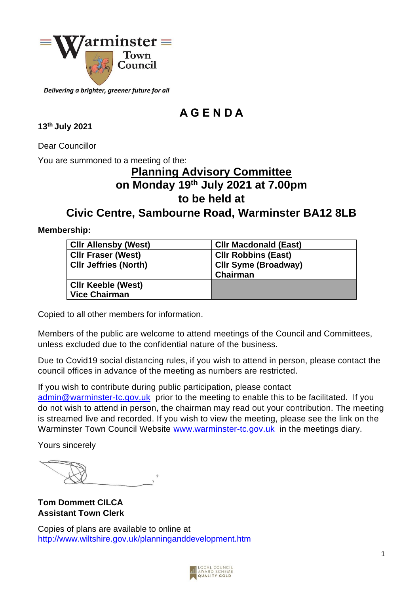

Delivering a brighter, greener future for all

# **A G E N D A**

### **13 th July 2021**

Dear Councillor

You are summoned to a meeting of the:

# **Planning Advisory Committee on Monday 19 th July 2021 at 7.00pm to be held at**

# **Civic Centre, Sambourne Road, Warminster BA12 8LB**

### **Membership:**

| <b>CIIr Allensby (West)</b>  | <b>CIIr Macdonald (East)</b>            |
|------------------------------|-----------------------------------------|
| <b>CIIr Fraser (West)</b>    | <b>CIIr Robbins (East)</b>              |
| <b>CIIr Jeffries (North)</b> | <b>CIIr Syme (Broadway)</b><br>Chairman |
| <b>CIIr Keeble (West)</b>    |                                         |
| <b>Vice Chairman</b>         |                                         |

Copied to all other members for information.

Members of the public are welcome to attend meetings of the Council and Committees, unless excluded due to the confidential nature of the business.

Due to Covid19 social distancing rules, if you wish to attend in person, please contact the council offices in advance of the meeting as numbers are restricted.

If you wish to contribute during public participation, please contact

[admin@warminster-tc.gov.uk](mailto:admin@warminster-tc.gov.uk) prior to the meeting to enable this to be facilitated. If you do not wish to attend in person, the chairman may read out your contribution. The meeting is streamed live and recorded. If you wish to view the meeting, please see the link on the Warminster Town Council Website [www.warminster-tc.gov.uk](http://www.warminster-tc.gov.uk/) in the meetings diary.

Yours sincerely

**Tom Dommett CILCA Assistant Town Clerk** 

Copies of plans are available to online at <http://www.wiltshire.gov.uk/planninganddevelopment.htm>

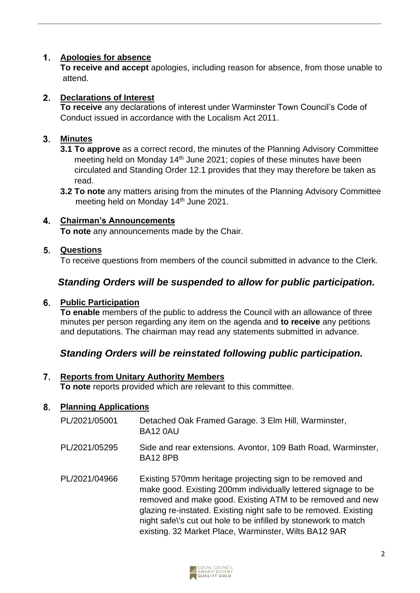#### $1<sub>1</sub>$ **Apologies for absence**

**To receive and accept** apologies, including reason for absence, from those unable to attend.

**\_\_\_\_\_\_\_\_\_\_\_\_\_\_\_\_\_\_\_\_\_\_\_\_\_\_\_\_\_\_\_\_\_\_\_\_\_\_\_\_\_\_\_\_\_\_\_\_\_\_\_\_\_\_\_\_\_\_\_\_\_\_\_\_\_\_\_\_\_\_\_\_\_**

#### $2<sub>1</sub>$ **Declarations of Interest**

**To receive** any declarations of interest under Warminster Town Council's Code of Conduct issued in accordance with the Localism Act 2011.

#### $3<sub>1</sub>$ **Minutes**

- **3.1 To approve** as a correct record, the minutes of the Planning Advisory Committee meeting held on Monday 14<sup>th</sup> June 2021; copies of these minutes have been circulated and Standing Order 12.1 provides that they may therefore be taken as read.
- **3.2 To note** any matters arising from the minutes of the Planning Advisory Committee meeting held on Monday 14<sup>th</sup> June 2021.

#### $\overline{\mathbf{4}}$ **Chairman's Announcements**

**To note** any announcements made by the Chair.

#### 5. **Questions**

To receive questions from members of the council submitted in advance to the Clerk.

### *Standing Orders will be suspended to allow for public participation.*

#### **Public Participation**

**To enable** members of the public to address the Council with an allowance of three minutes per person regarding any item on the agenda and **to receive** any petitions and deputations. The chairman may read any statements submitted in advance.

### *Standing Orders will be reinstated following public participation.*

#### $7.$ **Reports from Unitary Authority Members To note** reports provided which are relevant to this committee.

#### 8. **Planning Applications**

- PL/2021/05001 Detached Oak Framed Garage. 3 Elm Hill, Warminster, BA12 0AU
- PL/2021/05295 Side and rear extensions. Avontor, 109 Bath Road, Warminster, BA12 8PB
- PL/2021/04966 Existing 570mm heritage projecting sign to be removed and make good. Existing 200mm individually lettered signage to be removed and make good. Existing ATM to be removed and new glazing re-instated. Existing night safe to be removed. Existing night safe\'s cut out hole to be infilled by stonework to match existing. 32 Market Place, Warminster, Wilts BA12 9AR

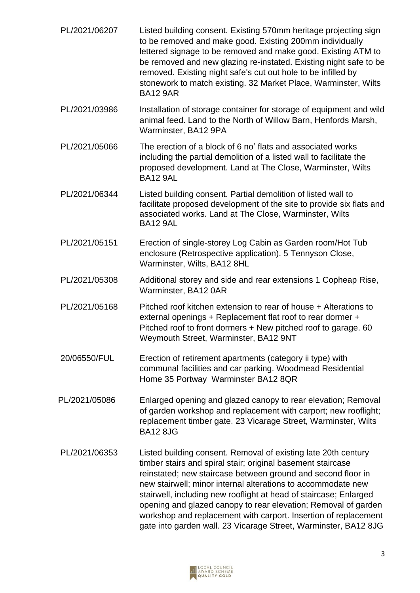| PL/2021/06207 | Listed building consent. Existing 570mm heritage projecting sign<br>to be removed and make good. Existing 200mm individually<br>lettered signage to be removed and make good. Existing ATM to<br>be removed and new glazing re-instated. Existing night safe to be<br>removed. Existing night safe's cut out hole to be infilled by<br>stonework to match existing. 32 Market Place, Warminster, Wilts<br><b>BA12 9AR</b>                                                                                                                  |
|---------------|--------------------------------------------------------------------------------------------------------------------------------------------------------------------------------------------------------------------------------------------------------------------------------------------------------------------------------------------------------------------------------------------------------------------------------------------------------------------------------------------------------------------------------------------|
| PL/2021/03986 | Installation of storage container for storage of equipment and wild<br>animal feed. Land to the North of Willow Barn, Henfords Marsh,<br>Warminster, BA12 9PA                                                                                                                                                                                                                                                                                                                                                                              |
| PL/2021/05066 | The erection of a block of 6 no' flats and associated works<br>including the partial demolition of a listed wall to facilitate the<br>proposed development. Land at The Close, Warminster, Wilts<br><b>BA12 9AL</b>                                                                                                                                                                                                                                                                                                                        |
| PL/2021/06344 | Listed building consent. Partial demolition of listed wall to<br>facilitate proposed development of the site to provide six flats and<br>associated works. Land at The Close, Warminster, Wilts<br><b>BA12 9AL</b>                                                                                                                                                                                                                                                                                                                         |
| PL/2021/05151 | Erection of single-storey Log Cabin as Garden room/Hot Tub<br>enclosure (Retrospective application). 5 Tennyson Close,<br>Warminster, Wilts, BA12 8HL                                                                                                                                                                                                                                                                                                                                                                                      |
| PL/2021/05308 | Additional storey and side and rear extensions 1 Copheap Rise,<br>Warminster, BA12 0AR                                                                                                                                                                                                                                                                                                                                                                                                                                                     |
| PL/2021/05168 | Pitched roof kitchen extension to rear of house + Alterations to<br>external openings + Replacement flat roof to rear dormer +<br>Pitched roof to front dormers + New pitched roof to garage. 60<br>Weymouth Street, Warminster, BA12 9NT                                                                                                                                                                                                                                                                                                  |
| 20/06550/FUL  | Erection of retirement apartments (category ii type) with<br>communal facilities and car parking. Woodmead Residential<br>Home 35 Portway Warminster BA12 8QR                                                                                                                                                                                                                                                                                                                                                                              |
| PL/2021/05086 | Enlarged opening and glazed canopy to rear elevation; Removal<br>of garden workshop and replacement with carport; new rooflight;<br>replacement timber gate. 23 Vicarage Street, Warminster, Wilts<br><b>BA12 8JG</b>                                                                                                                                                                                                                                                                                                                      |
| PL/2021/06353 | Listed building consent. Removal of existing late 20th century<br>timber stairs and spiral stair; original basement staircase<br>reinstated; new staircase between ground and second floor in<br>new stairwell; minor internal alterations to accommodate new<br>stairwell, including new rooflight at head of staircase; Enlarged<br>opening and glazed canopy to rear elevation; Removal of garden<br>workshop and replacement with carport. Insertion of replacement<br>gate into garden wall. 23 Vicarage Street, Warminster, BA12 8JG |

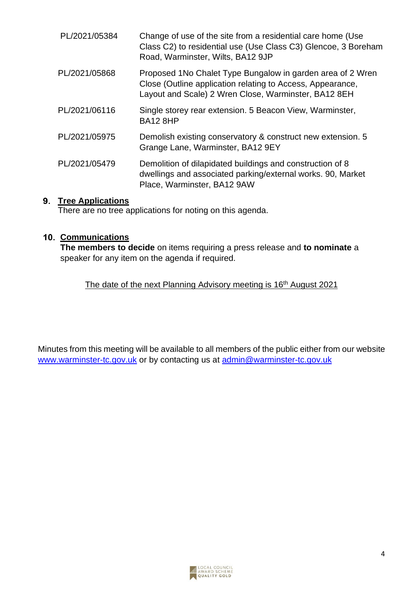| PL/2021/05384 | Change of use of the site from a residential care home (Use<br>Class C2) to residential use (Use Class C3) Glencoe, 3 Boreham<br>Road, Warminster, Wilts, BA12 9JP               |
|---------------|----------------------------------------------------------------------------------------------------------------------------------------------------------------------------------|
| PL/2021/05868 | Proposed 1No Chalet Type Bungalow in garden area of 2 Wren<br>Close (Outline application relating to Access, Appearance,<br>Layout and Scale) 2 Wren Close, Warminster, BA12 8EH |
| PL/2021/06116 | Single storey rear extension. 5 Beacon View, Warminster,<br><b>BA12 8HP</b>                                                                                                      |
| PL/2021/05975 | Demolish existing conservatory & construct new extension. 5<br>Grange Lane, Warminster, BA12 9EY                                                                                 |
| PL/2021/05479 | Demolition of dilapidated buildings and construction of 8<br>dwellings and associated parking/external works. 90, Market<br>Place, Warminster, BA12 9AW                          |

## **9.** Tree Applications

There are no tree applications for noting on this agenda.

### **10. Communications**

**The members to decide** on items requiring a press release and **to nominate** a speaker for any item on the agenda if required.

### The date of the next Planning Advisory meeting is 16<sup>th</sup> August 2021

Minutes from this meeting will be available to all members of the public either from our website [www.warminster-tc.gov.uk](http://www.warminster.uk.com/) or by contacting us at [admin@warminster-tc.gov.uk](mailto:admin@warminster-tc.gov.uk)

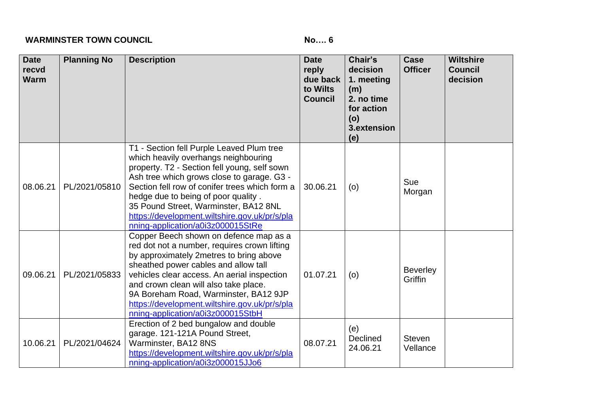### **WARMINSTER TOWN COUNCIL No.... 6**

| <b>Date</b><br>recvd<br><b>Warm</b> | <b>Planning No</b> | <b>Description</b>                                                                                                                                                                                                                                                                                                                                                                                      | <b>Date</b><br>reply<br>due back<br>to Wilts<br><b>Council</b> | Chair's<br>decision<br>1. meeting<br>(m)<br>2. no time<br>for action<br>(o)<br>3.extension<br>(e) | Case<br><b>Officer</b>     | <b>Wiltshire</b><br><b>Council</b><br>decision |
|-------------------------------------|--------------------|---------------------------------------------------------------------------------------------------------------------------------------------------------------------------------------------------------------------------------------------------------------------------------------------------------------------------------------------------------------------------------------------------------|----------------------------------------------------------------|---------------------------------------------------------------------------------------------------|----------------------------|------------------------------------------------|
| 08.06.21                            | PL/2021/05810      | T1 - Section fell Purple Leaved Plum tree<br>which heavily overhangs neighbouring<br>property. T2 - Section fell young, self sown<br>Ash tree which grows close to garage. G3 -<br>Section fell row of conifer trees which form a<br>hedge due to being of poor quality.<br>35 Pound Street, Warminster, BA12 8NL<br>https://development.wiltshire.gov.uk/pr/s/pla<br>nning-application/a0i3z000015StRe | 30.06.21                                                       | (o)                                                                                               | Sue<br>Morgan              |                                                |
| 09.06.21                            | PL/2021/05833      | Copper Beech shown on defence map as a<br>red dot not a number, requires crown lifting<br>by approximately 2metres to bring above<br>sheathed power cables and allow tall<br>vehicles clear access. An aerial inspection<br>and crown clean will also take place.<br>9A Boreham Road, Warminster, BA12 9JP<br>https://development.wiltshire.gov.uk/pr/s/pla<br>nning-application/a0i3z000015StbH        | 01.07.21                                                       | (o)                                                                                               | <b>Beverley</b><br>Griffin |                                                |
| 10.06.21                            | PL/2021/04624      | Erection of 2 bed bungalow and double<br>garage. 121-121A Pound Street,<br>Warminster, BA12 8NS<br>https://development.wiltshire.gov.uk/pr/s/pla<br>nning-application/a0i3z000015JJo6                                                                                                                                                                                                                   | 08.07.21                                                       | (e)<br><b>Declined</b><br>24.06.21                                                                | <b>Steven</b><br>Vellance  |                                                |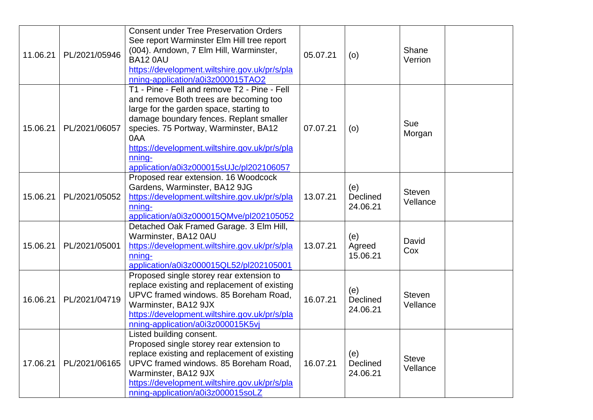|          |               | <b>Consent under Tree Preservation Orders</b>                                                                                                                                                                                                                                                                                      |          |                                    |                           |
|----------|---------------|------------------------------------------------------------------------------------------------------------------------------------------------------------------------------------------------------------------------------------------------------------------------------------------------------------------------------------|----------|------------------------------------|---------------------------|
| 11.06.21 | PL/2021/05946 | See report Warminster Elm Hill tree report<br>(004). Arndown, 7 Elm Hill, Warminster,<br><b>BA12 0AU</b><br>https://development.wiltshire.gov.uk/pr/s/pla<br>nning-application/a0i3z000015TAO2                                                                                                                                     | 05.07.21 | (0)                                | Shane<br>Verrion          |
| 15.06.21 | PL/2021/06057 | T1 - Pine - Fell and remove T2 - Pine - Fell<br>and remove Both trees are becoming too<br>large for the garden space, starting to<br>damage boundary fences. Replant smaller<br>species. 75 Portway, Warminster, BA12<br>0AA<br>https://development.wiltshire.gov.uk/pr/s/pla<br>nning-<br>application/a0i3z000015sUJc/pl202106057 | 07.07.21 | (0)                                | Sue<br>Morgan             |
| 15.06.21 | PL/2021/05052 | Proposed rear extension. 16 Woodcock<br>Gardens, Warminster, BA12 9JG<br>https://development.wiltshire.gov.uk/pr/s/pla<br>nning-<br>application/a0i3z000015QMve/pl202105052                                                                                                                                                        | 13.07.21 | (e)<br><b>Declined</b><br>24.06.21 | <b>Steven</b><br>Vellance |
| 15.06.21 | PL/2021/05001 | Detached Oak Framed Garage. 3 Elm Hill,<br>Warminster, BA12 0AU<br>https://development.wiltshire.gov.uk/pr/s/pla<br>nning-<br>application/a0i3z000015QL52/pl202105001                                                                                                                                                              | 13.07.21 | (e)<br>Agreed<br>15.06.21          | David<br>Cox              |
| 16.06.21 | PL/2021/04719 | Proposed single storey rear extension to<br>replace existing and replacement of existing<br>UPVC framed windows. 85 Boreham Road,<br>Warminster, BA12 9JX<br>https://development.wiltshire.gov.uk/pr/s/pla<br>nning-application/a0i3z000015K5vj                                                                                    | 16.07.21 | (e)<br><b>Declined</b><br>24.06.21 | <b>Steven</b><br>Vellance |
| 17.06.21 | PL/2021/06165 | Listed building consent.<br>Proposed single storey rear extension to<br>replace existing and replacement of existing<br>UPVC framed windows. 85 Boreham Road,<br>Warminster, BA12 9JX<br>https://development.wiltshire.gov.uk/pr/s/pla<br>nning-application/a0i3z000015soLZ                                                        | 16.07.21 | (e)<br>Declined<br>24.06.21        | <b>Steve</b><br>Vellance  |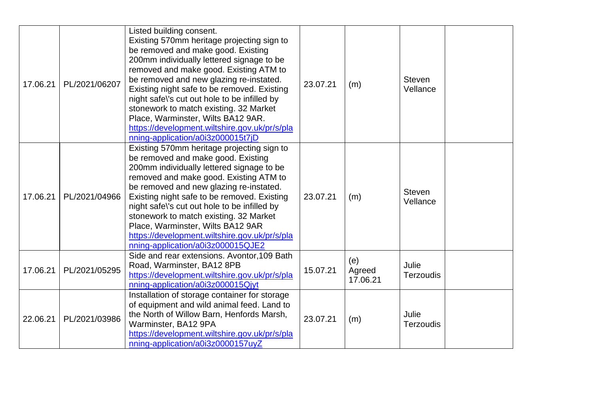| 17.06.21 | PL/2021/06207 | Listed building consent.<br>Existing 570mm heritage projecting sign to<br>be removed and make good. Existing<br>200mm individually lettered signage to be<br>removed and make good. Existing ATM to<br>be removed and new glazing re-instated.<br>Existing night safe to be removed. Existing<br>night safe\'s cut out hole to be infilled by<br>stonework to match existing. 32 Market<br>Place, Warminster, Wilts BA12 9AR.<br>https://development.wiltshire.gov.uk/pr/s/pla<br>nning-application/a0i3z000015t7jD | 23.07.21 | (m)                       | <b>Steven</b><br>Vellance |  |
|----------|---------------|---------------------------------------------------------------------------------------------------------------------------------------------------------------------------------------------------------------------------------------------------------------------------------------------------------------------------------------------------------------------------------------------------------------------------------------------------------------------------------------------------------------------|----------|---------------------------|---------------------------|--|
| 17.06.21 | PL/2021/04966 | Existing 570mm heritage projecting sign to<br>be removed and make good. Existing<br>200mm individually lettered signage to be<br>removed and make good. Existing ATM to<br>be removed and new glazing re-instated.<br>Existing night safe to be removed. Existing<br>night safe\'s cut out hole to be infilled by<br>stonework to match existing. 32 Market<br>Place, Warminster, Wilts BA12 9AR<br>https://development.wiltshire.gov.uk/pr/s/pla<br>nning-application/a0i3z000015QJE2                              | 23.07.21 | (m)                       | <b>Steven</b><br>Vellance |  |
| 17.06.21 | PL/2021/05295 | Side and rear extensions. Avontor, 109 Bath<br>Road, Warminster, BA12 8PB<br>https://development.wiltshire.gov.uk/pr/s/pla<br>nning-application/a0i3z000015Qjyt                                                                                                                                                                                                                                                                                                                                                     | 15.07.21 | (e)<br>Agreed<br>17.06.21 | Julie<br><b>Terzoudis</b> |  |
| 22.06.21 | PL/2021/03986 | Installation of storage container for storage<br>of equipment and wild animal feed. Land to<br>the North of Willow Barn, Henfords Marsh,<br>Warminster, BA12 9PA<br>https://development.wiltshire.gov.uk/pr/s/pla<br>nning-application/a0i3z0000157uyZ                                                                                                                                                                                                                                                              | 23.07.21 | (m)                       | Julie<br><b>Terzoudis</b> |  |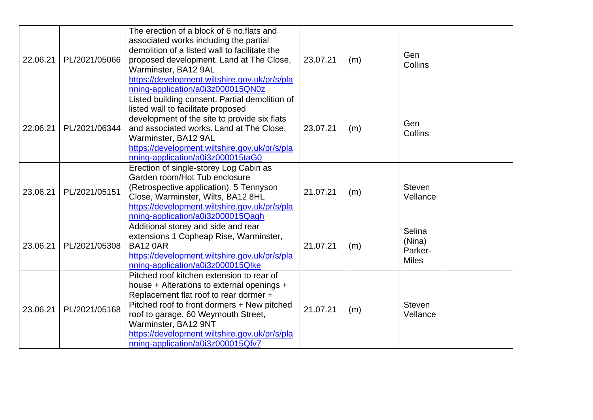| 22.06.21 | PL/2021/05066 | The erection of a block of 6 no.flats and<br>associated works including the partial<br>demolition of a listed wall to facilitate the<br>proposed development. Land at The Close,<br>Warminster, BA12 9AL<br>https://development.wiltshire.gov.uk/pr/s/pla<br>nning-application/a0i3z000015QN0z                                        | 23.07.21 | (m) | Gen<br>Collins                              |
|----------|---------------|---------------------------------------------------------------------------------------------------------------------------------------------------------------------------------------------------------------------------------------------------------------------------------------------------------------------------------------|----------|-----|---------------------------------------------|
| 22.06.21 | PL/2021/06344 | Listed building consent. Partial demolition of<br>listed wall to facilitate proposed<br>development of the site to provide six flats<br>and associated works. Land at The Close,<br>Warminster, BA12 9AL<br>https://development.wiltshire.gov.uk/pr/s/pla<br>nning-application/a0i3z000015taG0                                        | 23.07.21 | (m) | Gen<br><b>Collins</b>                       |
| 23.06.21 | PL/2021/05151 | Erection of single-storey Log Cabin as<br>Garden room/Hot Tub enclosure<br>(Retrospective application). 5 Tennyson<br>Close, Warminster, Wilts, BA12 8HL<br>https://development.wiltshire.gov.uk/pr/s/pla<br>nning-application/a0i3z000015Qagh                                                                                        | 21.07.21 | (m) | <b>Steven</b><br>Vellance                   |
| 23.06.21 | PL/2021/05308 | Additional storey and side and rear<br>extensions 1 Copheap Rise, Warminster,<br><b>BA12 0AR</b><br>https://development.wiltshire.gov.uk/pr/s/pla<br>nning-application/a0i3z000015Qlke                                                                                                                                                | 21.07.21 | (m) | Selina<br>(Nina)<br>Parker-<br><b>Miles</b> |
| 23.06.21 | PL/2021/05168 | Pitched roof kitchen extension to rear of<br>house + Alterations to external openings +<br>Replacement flat roof to rear dormer +<br>Pitched roof to front dormers + New pitched<br>roof to garage. 60 Weymouth Street,<br>Warminster, BA12 9NT<br>https://development.wiltshire.gov.uk/pr/s/pla<br>nning-application/a0i3z000015Qfv7 | 21.07.21 | (m) | <b>Steven</b><br>Vellance                   |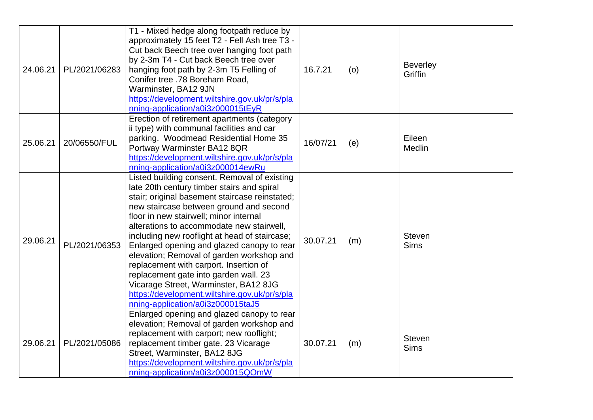| 24.06.21 | PL/2021/06283 | T1 - Mixed hedge along footpath reduce by<br>approximately 15 feet T2 - Fell Ash tree T3 -<br>Cut back Beech tree over hanging foot path<br>by 2-3m T4 - Cut back Beech tree over<br>hanging foot path by 2-3m T5 Felling of<br>Conifer tree .78 Boreham Road,<br>Warminster, BA12 9JN<br>https://development.wiltshire.gov.uk/pr/s/pla<br>nning-application/a0i3z000015tEyR                                                                                                                                                                                                                                                                 | 16.7.21  | (o) | <b>Beverley</b><br><b>Griffin</b> |
|----------|---------------|----------------------------------------------------------------------------------------------------------------------------------------------------------------------------------------------------------------------------------------------------------------------------------------------------------------------------------------------------------------------------------------------------------------------------------------------------------------------------------------------------------------------------------------------------------------------------------------------------------------------------------------------|----------|-----|-----------------------------------|
| 25.06.21 | 20/06550/FUL  | Erection of retirement apartments (category<br>ii type) with communal facilities and car<br>parking. Woodmead Residential Home 35<br>Portway Warminster BA12 8QR<br>https://development.wiltshire.gov.uk/pr/s/pla<br>nning-application/a0i3z000014ewRu                                                                                                                                                                                                                                                                                                                                                                                       | 16/07/21 | (e) | Eileen<br><b>Medlin</b>           |
| 29.06.21 | PL/2021/06353 | Listed building consent. Removal of existing<br>late 20th century timber stairs and spiral<br>stair; original basement staircase reinstated;<br>new staircase between ground and second<br>floor in new stairwell; minor internal<br>alterations to accommodate new stairwell,<br>including new rooflight at head of staircase;<br>Enlarged opening and glazed canopy to rear<br>elevation; Removal of garden workshop and<br>replacement with carport. Insertion of<br>replacement gate into garden wall. 23<br>Vicarage Street, Warminster, BA12 8JG<br>https://development.wiltshire.gov.uk/pr/s/pla<br>nning-application/a0i3z000015taJ5 | 30.07.21 | (m) | <b>Steven</b><br><b>Sims</b>      |
| 29.06.21 | PL/2021/05086 | Enlarged opening and glazed canopy to rear<br>elevation; Removal of garden workshop and<br>replacement with carport; new rooflight;<br>replacement timber gate. 23 Vicarage<br>Street, Warminster, BA12 8JG<br>https://development.wiltshire.gov.uk/pr/s/pla<br>nning-application/a0i3z000015QOmW                                                                                                                                                                                                                                                                                                                                            | 30.07.21 | (m) | <b>Steven</b><br><b>Sims</b>      |